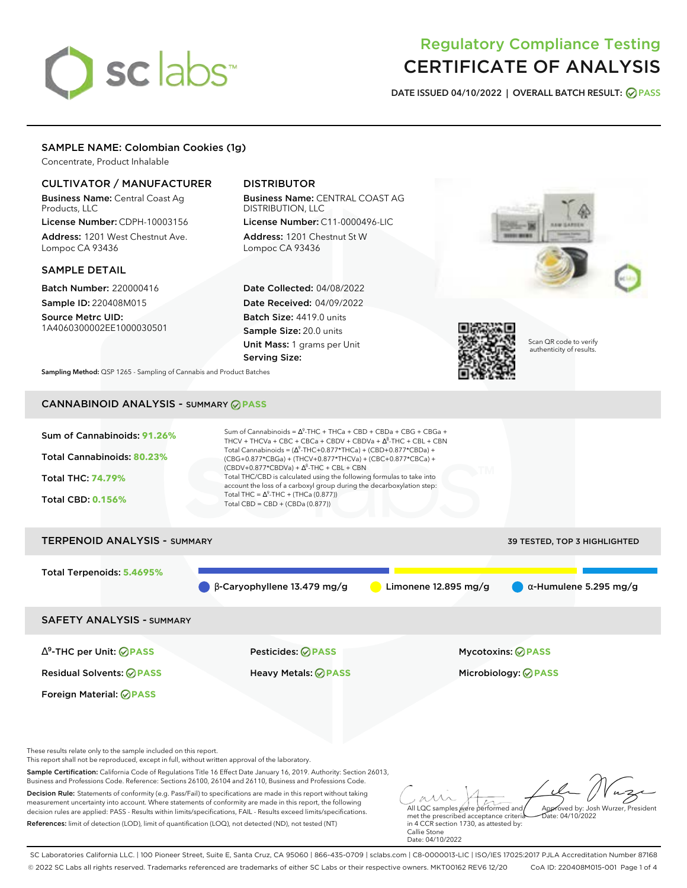# sclabs<sup>\*</sup>

# Regulatory Compliance Testing CERTIFICATE OF ANALYSIS

**DATE ISSUED 04/10/2022 | OVERALL BATCH RESULT: PASS**

# SAMPLE NAME: Colombian Cookies (1g)

Concentrate, Product Inhalable

# CULTIVATOR / MANUFACTURER

Business Name: Central Coast Ag Products, LLC License Number: CDPH-10003156

Address: 1201 West Chestnut Ave. Lompoc CA 93436

# SAMPLE DETAIL

Batch Number: 220000416 Sample ID: 220408M015

Source Metrc UID: 1A4060300002EE1000030501

# DISTRIBUTOR

Business Name: CENTRAL COAST AG DISTRIBUTION, LLC License Number: C11-0000496-LIC

Address: 1201 Chestnut St W Lompoc CA 93436

Date Collected: 04/08/2022 Date Received: 04/09/2022 Batch Size: 4419.0 units Sample Size: 20.0 units Unit Mass: 1 grams per Unit Serving Size:





Scan QR code to verify authenticity of results.

**Sampling Method:** QSP 1265 - Sampling of Cannabis and Product Batches

# CANNABINOID ANALYSIS - SUMMARY **PASS**

| Sum of Cannabinoids: 91.26%<br>Total Cannabinoids: 80.23%<br><b>Total THC: 74.79%</b><br><b>Total CBD: 0.156%</b> | Sum of Cannabinoids = $\Delta^9$ -THC + THCa + CBD + CBDa + CBG + CBGa +<br>THCV + THCVa + CBC + CBCa + CBDV + CBDVa + $\Lambda^8$ -THC + CBL + CBN<br>Total Cannabinoids = $(\Delta^9$ -THC+0.877*THCa) + (CBD+0.877*CBDa) +<br>(CBG+0.877*CBGa) + (THCV+0.877*THCVa) + (CBC+0.877*CBCa) +<br>$(CBDV+0.877*CBDVa) + \Delta^8$ -THC + CBL + CBN<br>Total THC/CBD is calculated using the following formulas to take into<br>account the loss of a carboxyl group during the decarboxylation step:<br>Total THC = $\Delta^9$ -THC + (THCa (0.877))<br>Total CBD = $CBD + (CBDa (0.877))$ |                                     |  |
|-------------------------------------------------------------------------------------------------------------------|-----------------------------------------------------------------------------------------------------------------------------------------------------------------------------------------------------------------------------------------------------------------------------------------------------------------------------------------------------------------------------------------------------------------------------------------------------------------------------------------------------------------------------------------------------------------------------------------|-------------------------------------|--|
|                                                                                                                   |                                                                                                                                                                                                                                                                                                                                                                                                                                                                                                                                                                                         |                                     |  |
| <b>TERPENOID ANALYSIS - SUMMARY</b>                                                                               |                                                                                                                                                                                                                                                                                                                                                                                                                                                                                                                                                                                         | <b>39 TESTED, TOP 3 HIGHLIGHTED</b> |  |
|                                                                                                                   |                                                                                                                                                                                                                                                                                                                                                                                                                                                                                                                                                                                         |                                     |  |

Total Terpenoids: **5.4695%**

β-Caryophyllene 13.479 mg/g **a** Limonene 12.895 mg/g  $α$ -Humulene 5.295 mg/g

SAFETY ANALYSIS - SUMMARY

∆ 9 -THC per Unit: **PASS** Pesticides: **PASS** Mycotoxins: **PASS**

Foreign Material: **PASS**

Residual Solvents: **PASS** Heavy Metals: **PASS** Microbiology: **PASS**

These results relate only to the sample included on this report.

This report shall not be reproduced, except in full, without written approval of the laboratory.

Sample Certification: California Code of Regulations Title 16 Effect Date January 16, 2019. Authority: Section 26013, Business and Professions Code. Reference: Sections 26100, 26104 and 26110, Business and Professions Code.

Decision Rule: Statements of conformity (e.g. Pass/Fail) to specifications are made in this report without taking measurement uncertainty into account. Where statements of conformity are made in this report, the following decision rules are applied: PASS - Results within limits/specifications, FAIL - Results exceed limits/specifications. References: limit of detection (LOD), limit of quantification (LOQ), not detected (ND), not tested (NT)

All LQC samples were performed and Approved by: Josh Wurzer, President  $ate: 04/10/2022$ 

met the prescribed acceptance criteria in 4 CCR section 1730, as attested by: Callie Stone Date: 04/10/2022

SC Laboratories California LLC. | 100 Pioneer Street, Suite E, Santa Cruz, CA 95060 | 866-435-0709 | sclabs.com | C8-0000013-LIC | ISO/IES 17025:2017 PJLA Accreditation Number 87168 © 2022 SC Labs all rights reserved. Trademarks referenced are trademarks of either SC Labs or their respective owners. MKT00162 REV6 12/20 CoA ID: 220408M015-001 Page 1 of 4